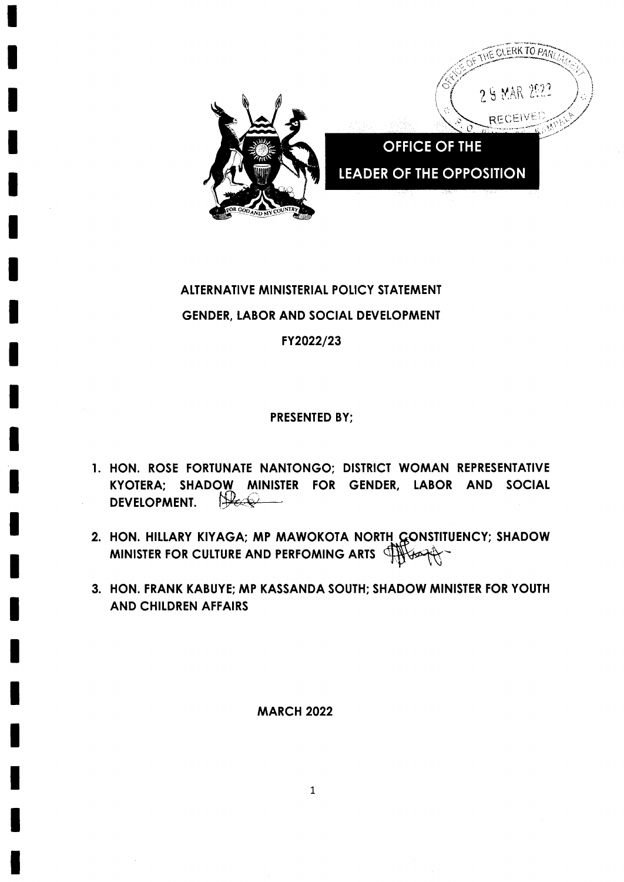

# **ALTERNATIVE MINISTERIAL POLICY STATEMENT GENDER, LABOR AND SOCIAL DEVELOPMENT** FY2022/23

**PRESENTED BY:** 

- 1. HON. ROSE FORTUNATE NANTONGO; DISTRICT WOMAN REPRESENTATIVE KYOTERA; SHADOW MINISTER FOR GENDER, LABOR AND SOCIAL Har **DEVELOPMENT.**
- 2. HON. HILLARY KIYAGA; MP MAWOKOTA NORTH GONSTITUENCY; SHADOW MINISTER FOR CULTURE AND PERFOMING ARTS THUSARY
- 3. HON. FRANK KABUYE; MP KASSANDA SOUTH; SHADOW MINISTER FOR YOUTH **AND CHILDREN AFFAIRS**

**MARCH 2022** 

 $\mathbf{1}$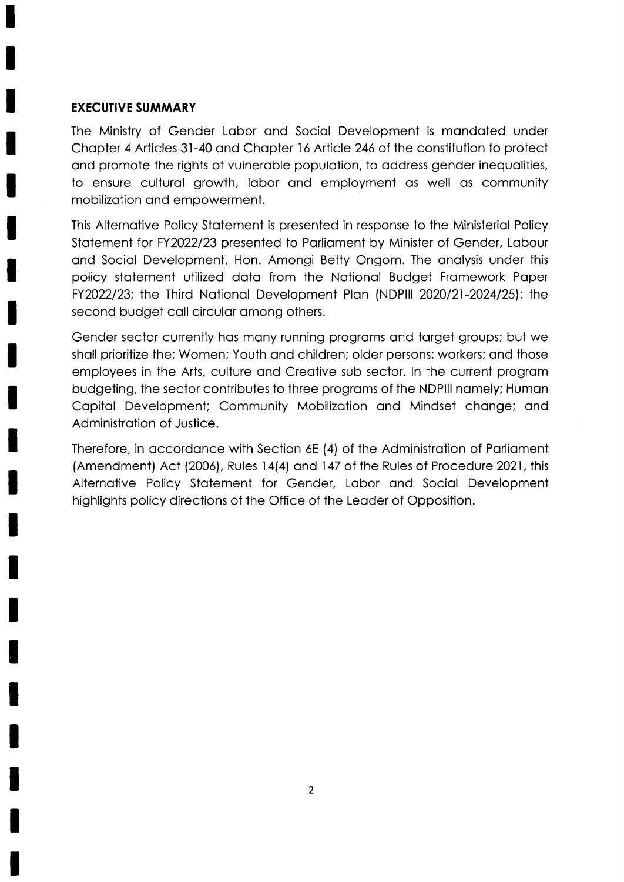#### EXECUTIVE SUMMARY

The Ministry of Gender Lobor ond Sociol Development is mondoted under Chopter 4 Articles 3l-40 ond Chopter l6 Article 246 of the constitution to protect and promote the rights of vulnerable population, to address gender inequalities, to ensure culturol growth, lobor ond employment os well os community mobilizotion ond empowerment.

This Alternotive Policy Stotement is presented in response to the Ministeriol Policy Stotement for FY2022123 presented to Porlioment by Minister of Gender, Lobour ond Sociol Development, Hon. Amongi Betty Ongom. The onolysis under this policy stotement utilized doto from the Notionol Budget Fromework Poper FY2022/23; the Third National Development Plan (NDPIII 2020/21-2024/25); the second budget call circular among others.

Gender sector currently hos mony running progroms ond torget groups; but we sholl prioritize the; Women; Youth ond children; older persons; workers; ond those employees in the Arts, culture qnd Creotive sub sector. ln the current progrom budgeting, the sector contributes to three programs of the NDPIII namely; Human Copitol Development; Community Mobilizotion ond Mindset chonge; ond Administrotion of Justice.

Therefore, in accordance with Section 6E (4) of the Administration of Parliament (Amendment) Act (2006), Rules 14(4) and 147 of the Rules of Procedure 2021, this Alternotive Policy Stotement for Gender, Lobor ond Sociol Development highlights policy directions of the Office of the Leoder of Opposition.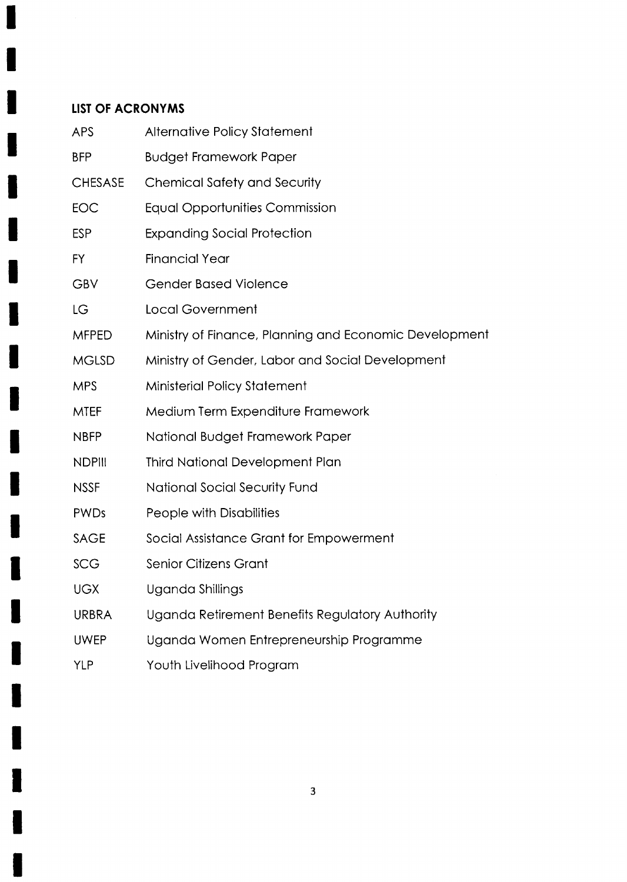## LIST OF ACRONYMS

Π

 $\blacksquare$ 

I

H

I

H

H

| <b>APS</b>     | <b>Alternative Policy Statement</b>                    |
|----------------|--------------------------------------------------------|
| <b>BFP</b>     | <b>Budget Framework Paper</b>                          |
| <b>CHESASE</b> | <b>Chemical Safety and Security</b>                    |
| <b>EOC</b>     | <b>Equal Opportunities Commission</b>                  |
| <b>ESP</b>     | <b>Expanding Social Protection</b>                     |
| <b>FY</b>      | <b>Financial Year</b>                                  |
| <b>GBV</b>     | <b>Gender Based Violence</b>                           |
| LG             | <b>Local Government</b>                                |
| <b>MFPED</b>   | Ministry of Finance, Planning and Economic Development |
| <b>MGLSD</b>   | Ministry of Gender, Labor and Social Development       |
| <b>MPS</b>     | <b>Ministerial Policy Statement</b>                    |
| <b>MTEF</b>    | Medium Term Expenditure Framework                      |
| <b>NBFP</b>    | National Budget Framework Paper                        |
| <b>NDPIII</b>  | <b>Third National Development Plan</b>                 |
| <b>NSSF</b>    | National Social Security Fund                          |
| <b>PWDs</b>    | People with Disabilities                               |
| <b>SAGE</b>    | Social Assistance Grant for Empowerment                |
| <b>SCG</b>     | <b>Senior Citizens Grant</b>                           |
| <b>UGX</b>     | Uganda Shillings                                       |
| <b>URBRA</b>   | Uganda Retirement Benefits Regulatory Authority        |
| <b>UWEP</b>    | Uganda Women Entrepreneurship Programme                |
| YLP            | Youth Livelihood Program                               |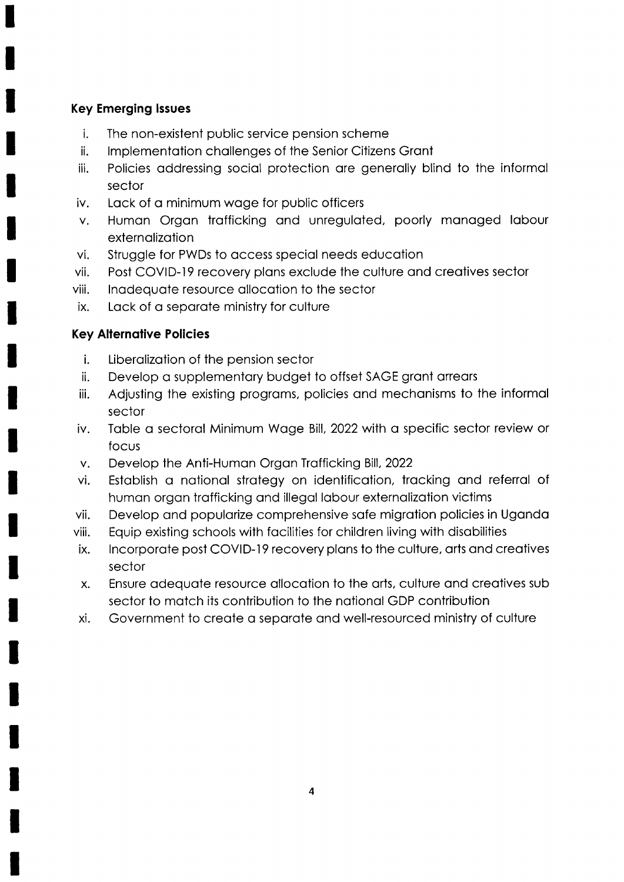### Key Emerging lssues

- i The non-existent public service pension scheme
- ii lmplementotion chollenges of the Senior Citizens Gront
- iii Policies addressing social protection are generally blind to the informal sector
- iv. Lack of a minimum wage for public officers
- Humon Orgon trofficking ond unreguloted, poorly monoged lobour V. externolizotion
- Struggle for PWDs to occess speciol needs educotion vi.
- Post COVID-19 recovery plans exclude the culture and creatives sector vii.
- lnodequote resource ollocotion to the sector viii.
- Lack of a separate ministry for culture ix.

### **Key Alternative Policies**

- i. Liberolizotion of the pension sector
- ii. Develop a supplementary budget to offset SAGE grant arrears
- iii. Adjusting the existing programs, policies and mechanisms to the informal sector
- iv. Table a sectoral Minimum Wage Bill, 2022 with a specific sector review or focus
- v. Develop the Anti-Human Organ Trafficking Bill, 2022
- vi. Estoblish o notionol strotegy on identificotion, trocking ond referrol of human organ trafficking and illegal labour externalization victims
- vii. Develop ond populorize comprehensive sofe migrotion policies in Ugondo
- viii. Equip exlsting schools with focilities for children living with disobilities
- ix. Incorporate post COVID-19 recovery plans to the culture, arts and creatives sector
- x. Ensure odequote resource ollocotion to the orts, culture ond creotives sub sector to motch its contribution to the notionol GDP contribution
- xi. Government to creote o seporote ond well-resourced ministry of culture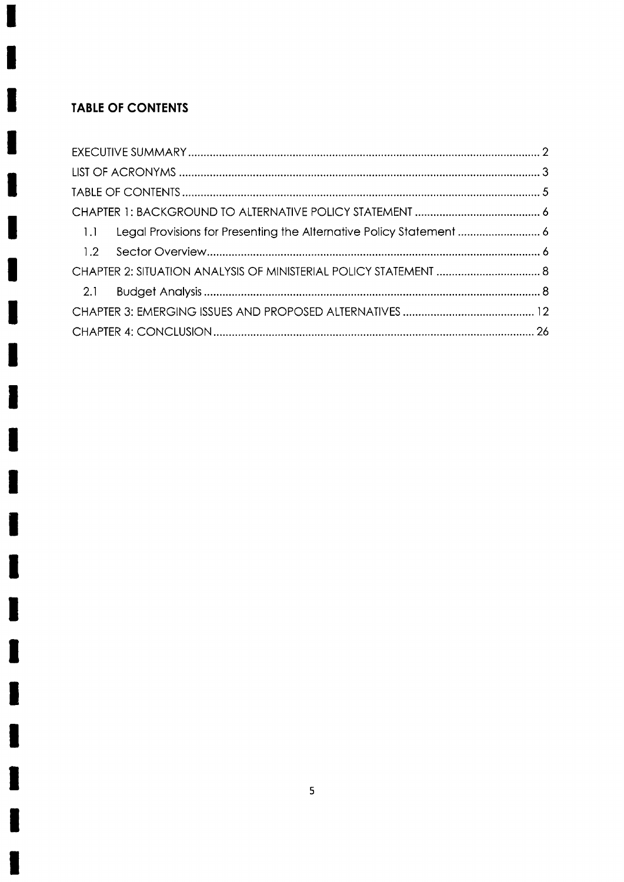## TABLE OF CONTENTS

ŋ

ł

I

H

l

L

I

I

I

I

I

I

I

I

I

I

I

L

I

I

J

| Legal Provisions for Presenting the Alternative Policy Statement  6<br>1.1 |  |
|----------------------------------------------------------------------------|--|
|                                                                            |  |
| CHAPTER 2: SITUATION ANALYSIS OF MINISTERIAL POLICY STATEMENT  8           |  |
|                                                                            |  |
|                                                                            |  |
|                                                                            |  |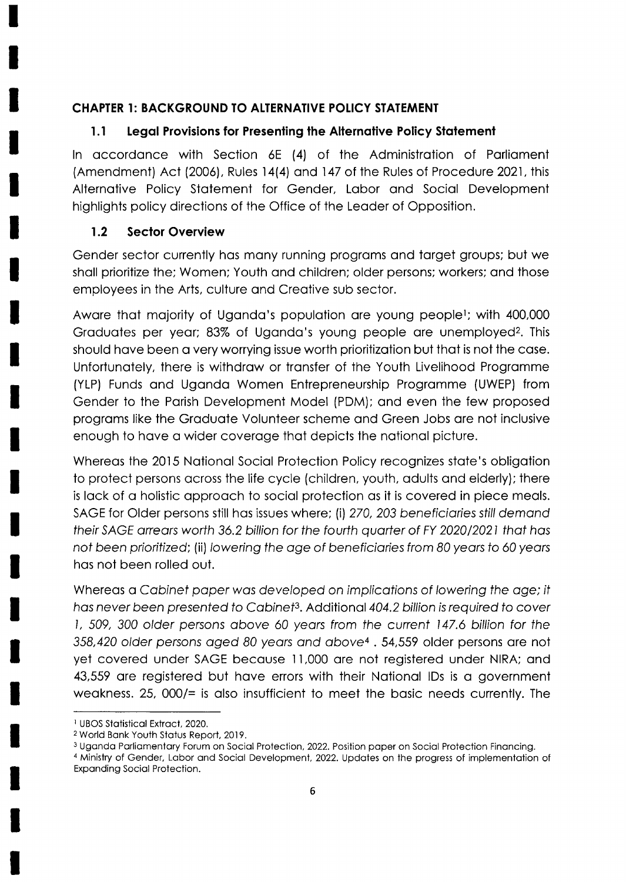### CHAPTER 1: BACKGROUND TO ALTERNATIVE POLICY STATEMENT

### l.l Legol Provisions for Presenting the Alternotive Policy Stolement

In accordance with Section 6E (4) of the Administration of Parliament (Amendment) Act (2006), Rules 14(4) and 147 of the Rules of Procedure 2021, this Alternotive Policy Stotement for Gender, Lobor ond Sociol Development highlights policy directions of the Office of the Leoder of Opposition.

### 1.2 Sector Overview

Gender sector currently hos mony running progroms ond torget groups; but we shall prioritize the; Women; Youth and children; older persons; workers; and those employees in the Arts, culture ond Creotive sub sector.

Aware that majority of Uganda's population are young people<sup>1</sup>; with 400,000 Graduates per year; 83% of Uganda's young people are unemployed? This should have been a very worrying issue worth prioritization but that is not the case. Unfortunotely, there is withdrow or tronsfer of the Youth Livelihood Progromme (YLP) Funds ond Ugondo Women Entrepreneurship Progromme (UWEP) from Gender to the Porish Development Model (PDM); ond even the few proposed progroms like the Groduote Volunteer scheme ond Green Jobs ore not inclusive enough to have a wider coverage that depicts the national picture.

Whereas the 2015 National Social Protection Policy recognizes state's obligation to protect persons across the life cycle (children, youth, adults and elderly); there is lack of a holistic approach to social protection as it is covered in piece meals. SAGE for Older persons still has issues where; (i) 270, 203 beneficiaries still demand their SAGE arrears worth 36.2 billion for the fourth quarter of FY 2020/2021 that has not been prioritized; (ii) lowering the age of beneficiaries from 80 years to 60 years hos not been rolled out.

Whereas a Cabinet paper was developed on implications of lowering the age; it has never been presented to Cabinet<sup>3</sup>. Additional 404.2 billion is required to cover l, 509, 300 older persons obove 60 yeors from fhe current 147.6 billion for the 358,420 older persons aged 80 years and above<sup>4</sup>. 54,559 older persons are not yet covered under SAGE becouse <sup>1</sup> ,l,000 ore not registered under NIRA; ond 43,559 ore registered but hove errors with their Notionol lDs is o government weakness. 25,  $000/=\text{s}$  also insufficient to meet the basic needs currently. The

<sup>&</sup>lt;sup>1</sup> UBOS Statistical Extract, 2020.

<sup>2</sup>World Bonk Youth Stotus Reporl, 2019.

<sup>&</sup>lt;sup>3</sup> Uganda Parliamentary Forum on Social Protection, 2022. Position paper on Social Protection Financing.

<sup>&</sup>lt;sup>4</sup> Ministry of Gender, Labor and Social Development, 2022. Updates on the progress of implementation of Exponding Sociol Protection.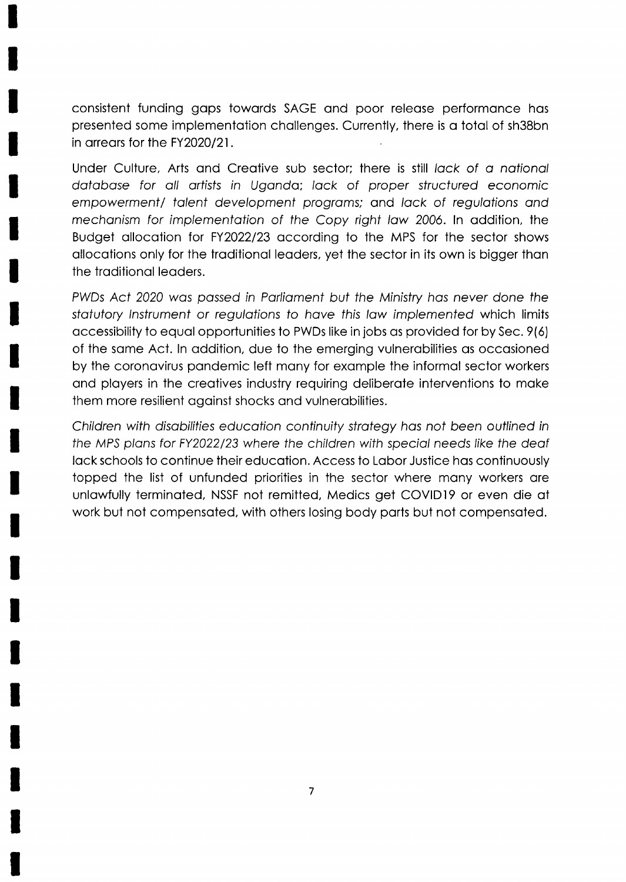consistent funding gops towords SAGE ond poor releose performonce hos presented some implementotion chollenges. Currently, there is o totol of sh38bn in arrears for the FY2020/21.

Under Culture, Arts and Creative sub sector; there is still lack of a national database for all artists in Uganda; lack of proper structured economic empowerment/ talent development programs; and lack of regulations and mechanism for implementation of the Copy right law 2006. In addition, the Budget allocation for FY2022/23 according to the MPS for the sector shows allocations only for the traditional leaders, yet the sector in its own is bigger than the troditionol leoders.

PWDs Act 2020 wos possed in Porliomenf but fhe Minisfry hos never done the statutory Instrument or regulations to have this law implemented which limits occessibility to equol opportunities to PWDs like in jobs os provided for by Sec. 9(6) of the some Act. ln oddition, due to the emerging vulnerobilities os occosioned by the coronovirus pondemic left mony for exomple the informol sector workers ond ployers in the creotives industry requiring deliberote interventions to moke them more resilient ogoinst shocks ond vulnerobilities.

Children with disabilities education continuity strategy has not been outlined in the MPS plans for FY2022/23 where the children with special needs like the deaf lack schools to continue their education. Access to Labor Justice has continuously topped the list of unfunded priorities in the sector where mony workers ore unlawfully terminated, NSSF not remitted, Medics get COVID19 or even die at work but not compensoted, with others losing body ports but not compensoted.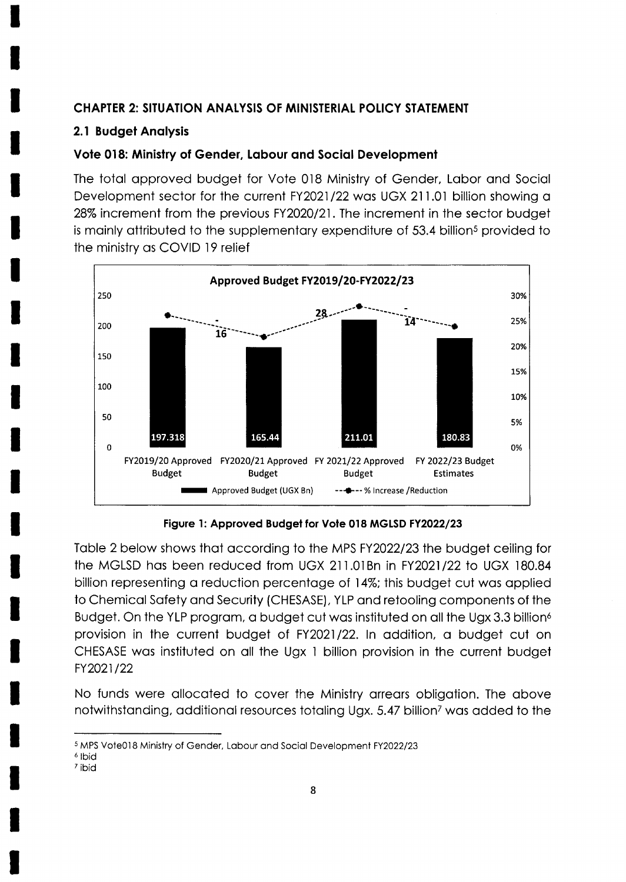### **CHAPTER 2: SITUATION ANALYSIS OF MINISTERIAL POLICY STATEMENT**

### 2.1 Budget Analysis

### Vote 018: Ministry of Gender, Labour and Social Development

The total approved budget for Vote 018 Ministry of Gender, Labor and Social Development sector for the current FY2021/22 was UGX 211.01 billion showing a 28% increment from the previous FY2020/21. The increment in the sector budget is mainly attributed to the supplementary expenditure of 53.4 billion<sup>5</sup> provided to the ministry as COVID 19 relief



Figure 1: Approved Budget for Vote 018 MGLSD FY2022/23

Table 2 below shows that according to the MPS FY2022/23 the budget ceiling for the MGLSD has been reduced from UGX 211.01Bn in FY2021/22 to UGX 180.84 billion representing a reduction percentage of 14%; this budget cut was applied to Chemical Safety and Security (CHESASE), YLP and retooling components of the Budget. On the YLP program, a budget cut was instituted on all the Ugx 3.3 billion<sup>6</sup> provision in the current budget of FY2021/22. In addition, a budget cut on CHESASE was instituted on all the Ugx 1 billion provision in the current budget FY2021/22

No funds were allocated to cover the Ministry arrears obligation. The above notwithstanding, additional resources totaling Ugx. 5.47 billion<sup>7</sup> was added to the

<sup>&</sup>lt;sup>5</sup> MPS Vote018 Ministry of Gender, Labour and Social Development FY2022/23

<sup>&</sup>lt;sup>6</sup> Ibid

<sup>&</sup>lt;sup>7</sup> ibid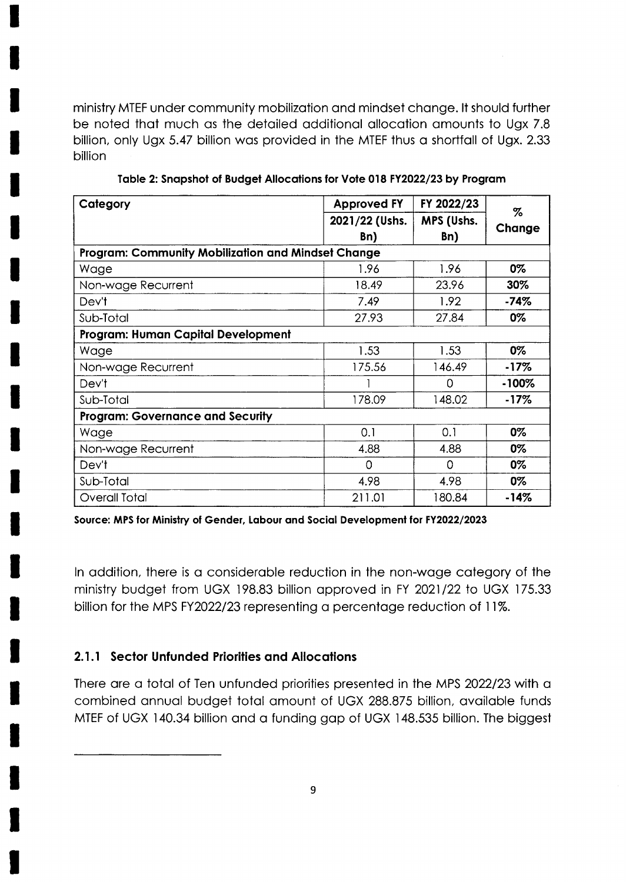ministry MTEF under community mobilization and mindset change. It should further be noted that much as the detailed additional allocation amounts to Ugx 7.8 billion, only Ugx 5.47 billion was provided in the MTEF thus a shortfall of Ugx. 2.33 billion

| Category                                           | <b>Approved FY</b> | FY 2022/23 | %        |  |  |
|----------------------------------------------------|--------------------|------------|----------|--|--|
|                                                    | 2021/22 (Ushs.     | MPS (Ushs. |          |  |  |
|                                                    | Bn)                | Bn)        | Change   |  |  |
| Program: Community Mobilization and Mindset Change |                    |            |          |  |  |
| Wage                                               | 1.96               | 1.96       | 0%       |  |  |
| Non-wage Recurrent                                 | 18.49              | 23.96      | 30%      |  |  |
| Dev't                                              | 7.49               | 1.92       | -74%     |  |  |
| Sub-Total                                          | 27.93              | 27.84      | 0%       |  |  |
| Program: Human Capital Development                 |                    |            |          |  |  |
| Wage                                               | 1.53               | 1.53       | 0%       |  |  |
| Non-wage Recurrent                                 | 175.56             | 146.49     | $-17%$   |  |  |
| Dev't                                              |                    | 0          | $-100\%$ |  |  |
| Sub-Total                                          | 178.09             | 148.02     | $-17\%$  |  |  |
| <b>Program: Governance and Security</b>            |                    |            |          |  |  |
| Wage                                               | 0.1                | 0.1        | 0%       |  |  |
| Non-wage Recurrent                                 | 4.88               | 4.88       | 0%       |  |  |
| Dev't                                              | 0                  | $\Omega$   | 0%       |  |  |
| Sub-Total                                          | 4.98               | 4.98       | 0%       |  |  |
| <b>Overall Total</b>                               | 211.01             | 180.84     | $-14%$   |  |  |

#### Table 2: Snapshot of Budget Allocations for Vote 018 FY2022/23 by Program

Source: MPS for Ministry of Gender, Labour and Social Development for FY2022/2023

In addition, there is a considerable reduction in the non-wage category of the ministry budget from UGX 198.83 billion approved in FY 2021/22 to UGX 175.33 billion for the MPS FY2022/23 representing a percentage reduction of 11%.

### 2.1.1 Sector Unfunded Priorities and Allocations

There are a total of Ten unfunded priorities presented in the MPS 2022/23 with a combined annual budget total amount of UGX 288.875 billion, available funds MTEF of UGX 140.34 billion and a funding gap of UGX 148.535 billion. The biggest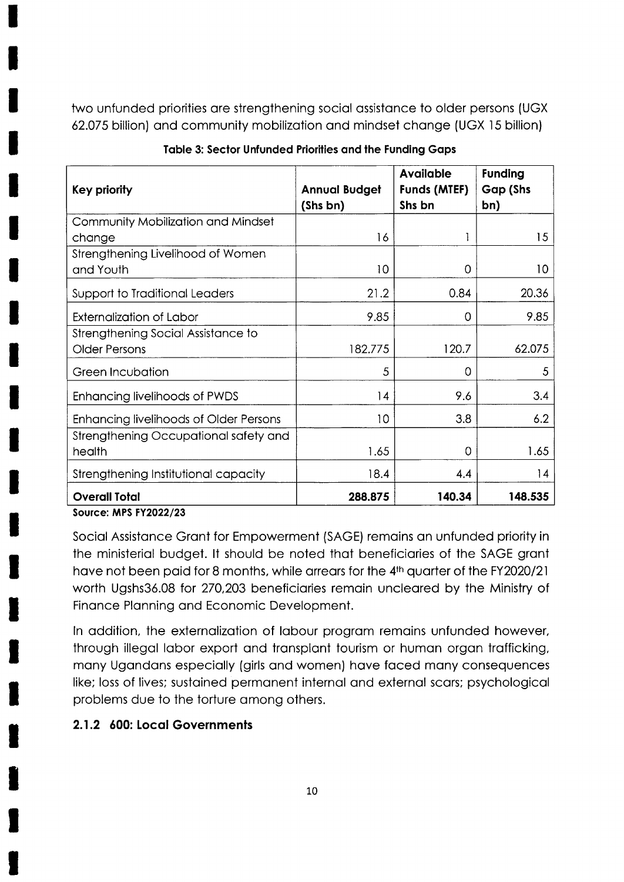two unfunded priorities are strengthening social assistance to older persons (UGX 62.075 billion) and community mobilization and mindset change (UGX 15 billion)

| Key priority                                  | <b>Annual Budget</b><br>(Shs bn) | <b>Available</b><br><b>Funds (MTEF)</b><br>Shs bn | <b>Funding</b><br>Gap (Shs<br>bn) |
|-----------------------------------------------|----------------------------------|---------------------------------------------------|-----------------------------------|
| Community Mobilization and Mindset            |                                  |                                                   |                                   |
| change                                        | 16                               |                                                   | 15                                |
| Strengthening Livelihood of Women             |                                  |                                                   |                                   |
| and Youth                                     | 10                               | $\Omega$                                          | 10                                |
| Support to Traditional Leaders                | 21.2                             | 0.84                                              | 20.36                             |
| <b>Externalization of Labor</b>               | 9.85                             | 0                                                 | 9.85                              |
| Strengthening Social Assistance to            |                                  |                                                   |                                   |
| <b>Older Persons</b>                          | 182.775                          | 120.7                                             | 62.075                            |
| Green Incubation                              | 5                                | O                                                 | 5                                 |
| <b>Enhancing livelihoods of PWDS</b>          | 14                               | 9.6                                               | 3.4                               |
| <b>Enhancing livelihoods of Older Persons</b> | 10                               | 3.8                                               | 6.2                               |
| Strengthening Occupational safety and         |                                  |                                                   |                                   |
| health                                        | 1.65                             | 0                                                 | 1.65                              |
| Strengthening Institutional capacity          | 18.4                             | 4.4                                               | 14                                |
| <b>Overall Total</b><br>Saurea: MPS EV2022/22 | 288.875                          | 140.34                                            | 148.535                           |

|  |  | Table 3: Sector Unfunded Priorities and the Funding Gaps |  |  |  |  |
|--|--|----------------------------------------------------------|--|--|--|--|
|--|--|----------------------------------------------------------|--|--|--|--|

**Source: MPS FY2022/23** 

Social Assistance Grant for Empowerment (SAGE) remains an unfunded priority in the ministerial budget. It should be noted that beneficiaries of the SAGE grant have not been paid for 8 months, while arrears for the 4th quarter of the FY2020/21 worth Ugshs36.08 for 270,203 beneficiaries remain uncleared by the Ministry of Finance Planning and Economic Development.

In addition, the externalization of labour program remains unfunded however, through illegal labor export and transplant tourism or human organ trafficking, many Ugandans especially (girls and women) have faced many consequences like; loss of lives; sustained permanent internal and external scars; psychological problems due to the torture among others.

### 2.1.2 600: Local Governments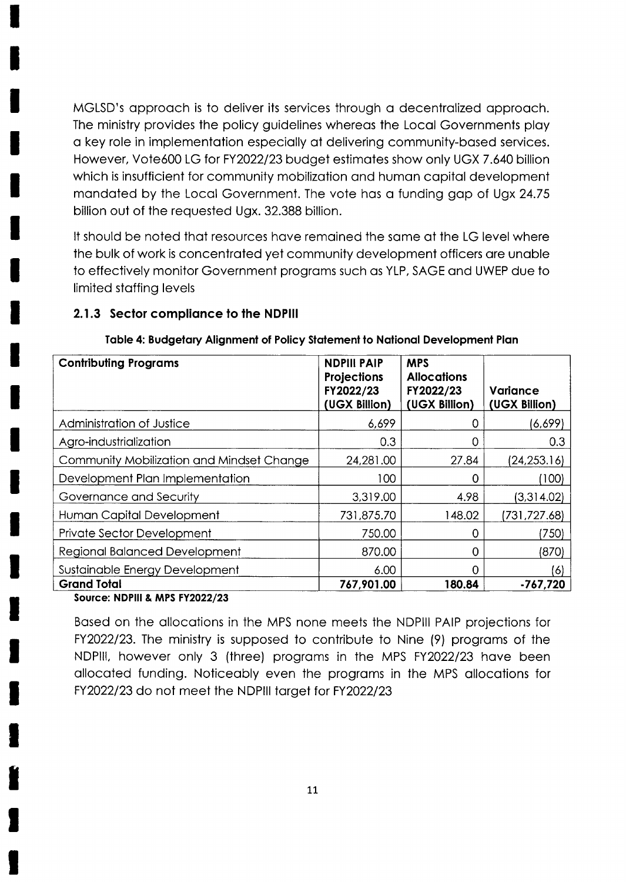MGLSD's approach is to deliver its services through a decentralized approach. The ministry provides the policy guidelines whereas the Local Governments play a key role in implementation especially at delivering community-based services. However, Vote600 LG for FY2022/23 budget estimates show only UGX 7.640 billion which is insufficient for community mobilization and human capital development mandated by the Local Government. The vote has a funding gap of Ugx 24.75 billion out of the requested Ugx, 32,388 billion.

It should be noted that resources have remained the same at the LG level where the bulk of work is concentrated yet community development officers are unable to effectively monitor Government programs such as YLP, SAGE and UWEP due to limited staffing levels

#### 2.1.3 Sector compliance to the NDPIII

| <b>Contributing Programs</b>              | <b>NDPIII PAIP</b><br>Projections<br>FY2022/23<br>(UGX Billion) | <b>MPS</b><br><b>Allocations</b><br>FY2022/23<br>(UGX Billion) | Variance<br>(UGX Billion) |
|-------------------------------------------|-----------------------------------------------------------------|----------------------------------------------------------------|---------------------------|
| Administration of Justice                 | 6,699                                                           | O                                                              | (6,699)                   |
| Agro-industrialization                    | 0.3                                                             | 0                                                              | 0.3                       |
| Community Mobilization and Mindset Change | 24,281.00                                                       | 27.84                                                          | (24, 253.16)              |
| Development Plan Implementation           | 100                                                             |                                                                | (100)                     |
| Governance and Security                   | 3,319.00                                                        | 4.98                                                           | (3,314.02)                |
| Human Capital Development                 | 731,875.70                                                      | 148.02                                                         | (731, 727.68)             |
| <b>Private Sector Development</b>         | 750.00                                                          | Ω                                                              | (750)                     |
| <b>Regional Balanced Development</b>      | 870.00                                                          | 0                                                              | (870)                     |
| Sustainable Energy Development            | 6.00                                                            |                                                                | (6)                       |
| <b>Grand Total</b>                        | 767,901.00                                                      | 180.84                                                         | $-767,720$                |

#### Table 4: Budgetary Alignment of Policy Statement to National Development Plan

#### Source: NDPIII & MPS FY2022/23

Based on the allocations in the MPS none meets the NDPIII PAIP projections for FY2022/23. The ministry is supposed to contribute to Nine (9) programs of the NDPIII, however only 3 (three) programs in the MPS FY2022/23 have been allocated funding. Noticeably even the programs in the MPS allocations for FY2022/23 do not meet the NDPIII target for FY2022/23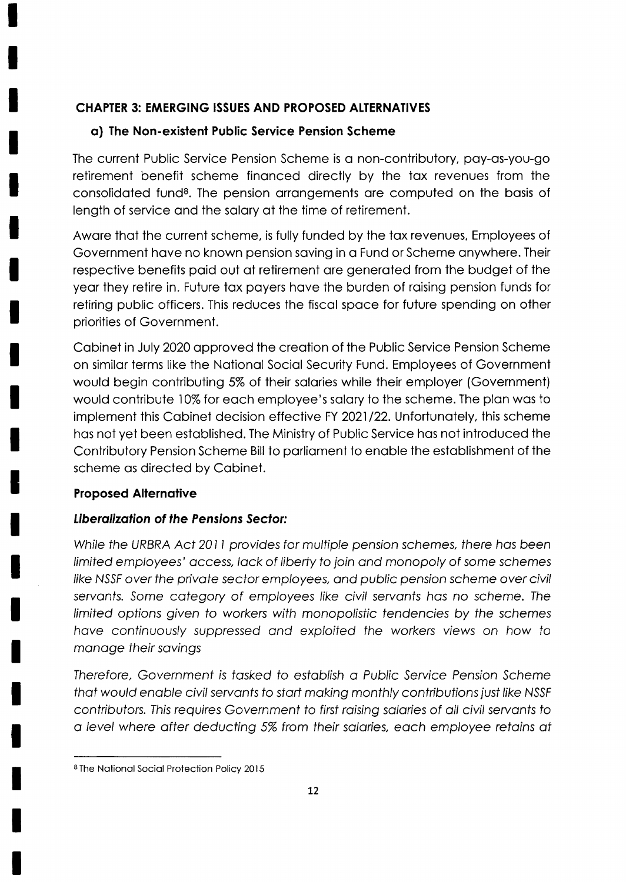### CHAPTER 3: EMERGING ISSUES AND PROPOSED ALTERNATIVES

### o) The Non-exislent Public Service Pension Scheme

The current Public Service Pension Scheme is o non-contributory, poy-os-you-go retirement benefit scheme finonced directly by the tox revenues from the consolidoted funde. The pension orrongements ore computed on the bosis of length of service ond the solory of the time of retirement.

Awore thot the current scheme, is fully funded by the tox revenues, Employees of Government hove no known pension soving in o Fund or Scheme onywhere. Their respective benefits poid out of retirement ore generoted from the budget of the yeor they retire in. Future tox poyers hove the burden of roising pension funds for retiring public officers. This reduces the fiscol spoce for future spending on other priorities of Government.

Cobinet in July 2020 opproved the creotion of the Public Service Pension Scheme on similor terms like the Notionol Sociol Security Fund. Employees of Governmeni would begin contributing 5% of their solories while their employer (Government) would contribute 10% for each employee's salary to the scheme. The plan was to implement this Cabinet decision effective FY 2021/22. Unfortunately, this scheme hos not yet been estoblished. The Ministry of Public Service hos not introduced the Contributory Pension Scheme Bill to porlioment to enoble the estoblishment of the scheme os directed by Cobinet.

#### Proposed Allernotive

### Liberalization of the Pensions Sector:

While fhe URBRA Act 201I provides for mulfiple pension schemes, there hos been limited employees' occess, lock of liberty to join ond monopoly of some schemes like NSSF over the private sector employees, and public pension scheme over civil servants. Some category of employees like civil servants has no scheme. The limited options given to workers with monopolisfic fendencies by fhe schemes hove continuously suppressed ond exp/oifed the workers views on how to monoge fheir sovings

Therefore, Government is tasked to establish a Public Service Pension Scheme that would enable civil servants to start making monthly contributions just like NSSF contributors. This requires Government to first raising salaries of all civil servants to a level where after deducting 5% from their salaries, each employee retains at

<sup>&</sup>lt;sup>8</sup> The National Social Protection Policy 2015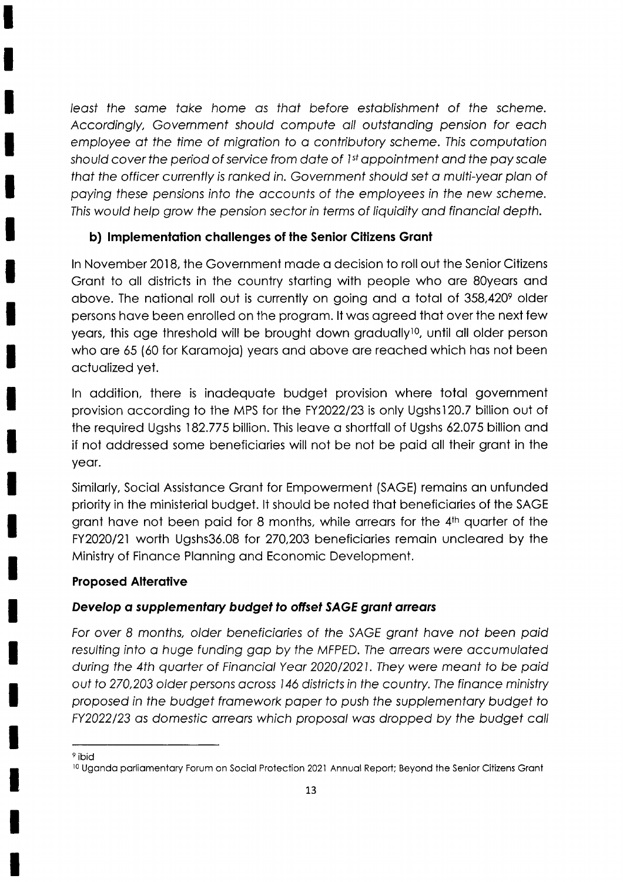leosf fhe some toke home os fhof before estob/ishment of fhe scheme. Accordingly, Government should compute all outstanding pension for each employee at the time of migration to a contributory scheme. This computation should cover the period of service from date of  $1<sup>st</sup>$  appointment and the pay scale that the officer currently is ranked in. Government should set a multi-year plan of poying fhese pensions info fhe occounts of the employees in fhe new scheme. This would help grow the pension sector in terms of liquidity and financial depth.

### b) Implementation challenges of the Senior Citizens Grant

ln November 2018, the Government mode o decision to roll out the Senior Citizens Gront to oll districts in the country storting with people who ore SOyeors ond above. The national roll out is currently on going and a total of  $358,420^{\circ}$  older persons hove been enrolled on the progrom. lt wos ogreed thot over the next few years, this age threshold will be brought down gradually<sup>10</sup>, until all older person who are 65 (60 for Karamoja) years and above are reached which has not been octuolized yet.

ln oddition, there is inodequote budget provision where totol government provision according to the MPS for the FY2022/23 is only Ugshs120.7 billion out of the required Ugshs 182.775 billion. This leove o shortfoll of Ugshs 62.075 billion qnd if not oddressed some beneficiories will not be not be poid oll their gront in the yeor.

Similorly, Sociol Assistonce Gront for Empowerment (SAGE) remoins on unfunded priority in the ministeriol budget. lt should be noted thot beneficiories of the SAGE grant have not been paid for 8 months, while arrears for the 4<sup>th</sup> quarter of the FY2020/21 worth Ugshs36.08 for 270,203 beneficiaries remain uncleared by the Ministry of Finonce Plonning ond Economic Development.

### **Proposed Alterative**

### Develop a supplementary budget to offset SAGE grant arrears

For over 8 months, older beneficiaries of the SAGE grant have not been paid resulting into a huge funding gap by the MFPED. The arrears were accumulated dvring the 4th quorfer of Finonciol Yeor 2020/2021. They were meont to be poid out fo 270,203 older persons ocross 146 disfricts in fhe country.The finonce ministry proposed in the budget framework paper to push the supplementary budget to FY2022/23 as domestic arrears which proposal was dropped by the budget call

<sup>&</sup>lt;sup>9</sup> ibid

<sup>&</sup>lt;sup>10</sup> Uganda parliamentary Forum on Social Protection 2021 Annual Report; Beyond the Senior Citizens Grant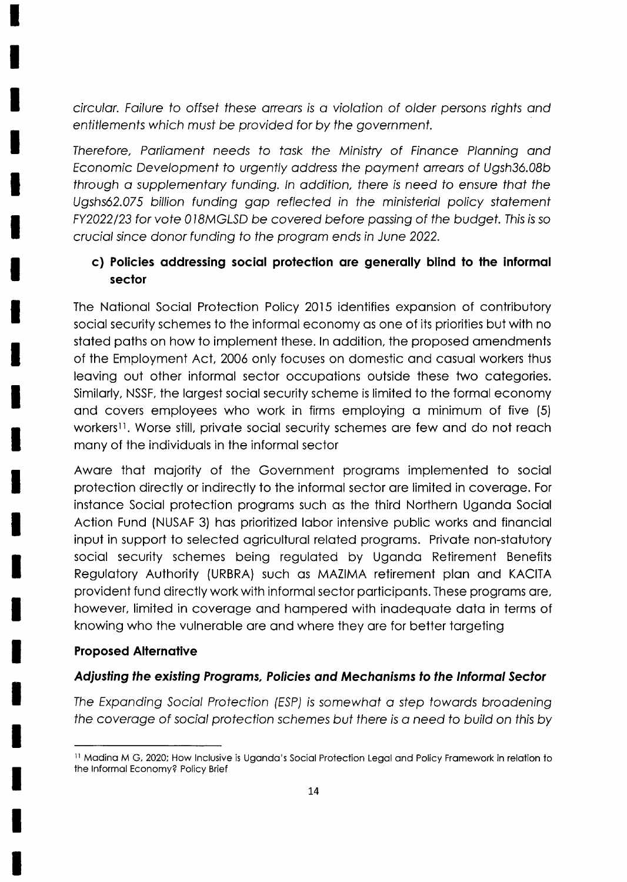circular. Failure to offset these arrears is a violation of older persons rights and entitlements which must be provided for by the government.

Therefore, Parliament needs to task the Ministry of Finance Planning and Economic Development to urgently address the payment arrears of Ugsh36.08b through a supplementary funding. In addition, there is need to ensure that the Ugshs62.075 billion funding gap reflected in the ministerial policy statement FY2022/23 for vote 018MGLSD be covered before passing of the budget. This is so crucial since donor funding to the program ends in June 2022.

### c) Policies addressing social protection are generally blind to the informal sector

The National Social Protection Policy 2015 identifies expansion of contributory social security schemes to the informal economy as one of its priorities but with no stated paths on how to implement these. In addition, the proposed amendments of the Employment Act, 2006 only focuses on domestic and casual workers thus leaving out other informal sector occupations outside these two categories. Similarly, NSSF, the largest social security scheme is limited to the formal economy and covers employees who work in firms employing a minimum of five (5) workers<sup>11</sup>. Worse still, private social security schemes are few and do not reach many of the individuals in the informal sector

Aware that majority of the Government programs implemented to social protection directly or indirectly to the informal sector are limited in coverage. For instance Social protection programs such as the third Northern Uganda Social Action Fund (NUSAF 3) has prioritized labor intensive public works and financial input in support to selected agricultural related programs. Private non-statutory social security schemes being regulated by Uganda Retirement Benefits Regulatory Authority (URBRA) such as MAZIMA retirement plan and KACITA provident fund directly work with informal sector participants. These programs are, however, limited in coverage and hampered with inadequate data in terms of knowing who the vulnerable are and where they are for better targeting

### **Proposed Alternative**

#### Adjusting the existing Programs, Policies and Mechanisms to the Informal Sector

The Expanding Social Protection (ESP) is somewhat a step towards broadening the coverage of social protection schemes but there is a need to build on this by

<sup>&</sup>lt;sup>11</sup> Madina M G, 2020; How Inclusive is Uganda's Social Protection Legal and Policy Framework in relation to the Informal Economy? Policy Brief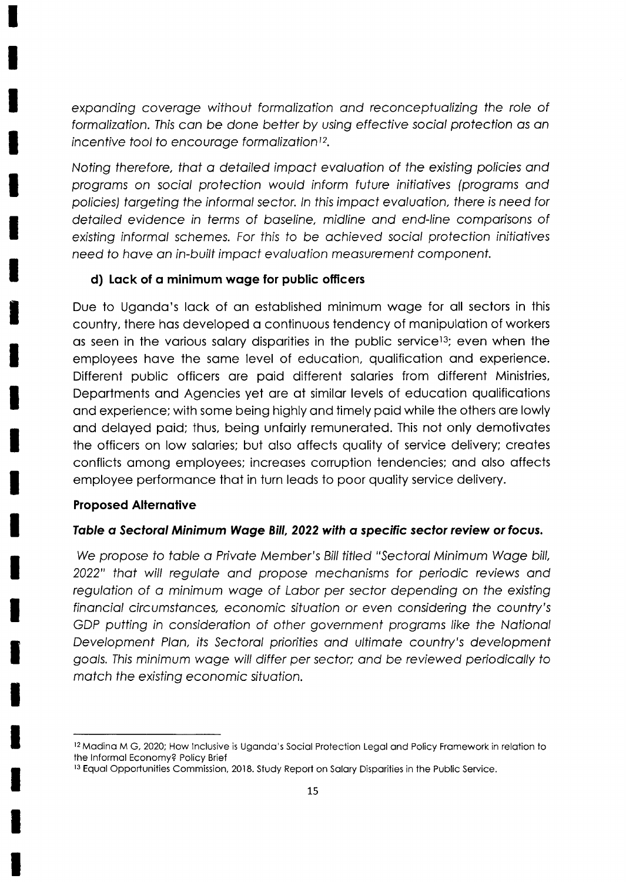expanding coverage without formalization and reconceptualizing the role of formalization. This can be done better by using effective social protection as an incentive tool to encourage formalization<sup>12</sup>.

Noting therefore, that a detailed impact evaluation of the existing policies and programs on social protection would inform future initiatives (programs and policies) targeting the informal sector. In this impact evaluation, there is need for detailed evidence in terms of baseline, midline and end-line comparisons of existing informal schemes. For this to be achieved social protection initiatives need to have an in-built impact evaluation measurement component.

#### d) Lack of a minimum wage for public officers

Due to Uganda's lack of an established minimum wage for all sectors in this country, there has developed a continuous tendency of manipulation of workers as seen in the various salary disparities in the public service<sup>13</sup>; even when the employees have the same level of education, qualification and experience. Different public officers are paid different salaries from different Ministries, Departments and Agencies yet are at similar levels of education qualifications and experience; with some being highly and timely paid while the others are lowly and delayed paid; thus, being unfairly remunerated. This not only demotivates the officers on low salaries; but also affects quality of service delivery; creates conflicts among employees; increases corruption tendencies; and also affects employee performance that in turn leads to poor quality service delivery.

#### **Proposed Alternative**

#### Table a Sectoral Minimum Wage Bill, 2022 with a specific sector review or focus.

We propose to table a Private Member's Bill titled "Sectoral Minimum Wage bill, 2022" that will regulate and propose mechanisms for periodic reviews and requlation of a minimum wage of Labor per sector depending on the existing financial circumstances, economic situation or even considering the country's GDP putting in consideration of other government programs like the National Development Plan, its Sectoral priorities and ultimate country's development goals. This minimum wage will differ per sector; and be reviewed periodically to match the existing economic situation.

<sup>&</sup>lt;sup>12</sup> Madina M G, 2020; How Inclusive is Uganda's Social Protection Legal and Policy Framework in relation to the Informal Economy? Policy Brief

<sup>&</sup>lt;sup>13</sup> Equal Opportunities Commission, 2018. Study Report on Salary Disparities in the Public Service.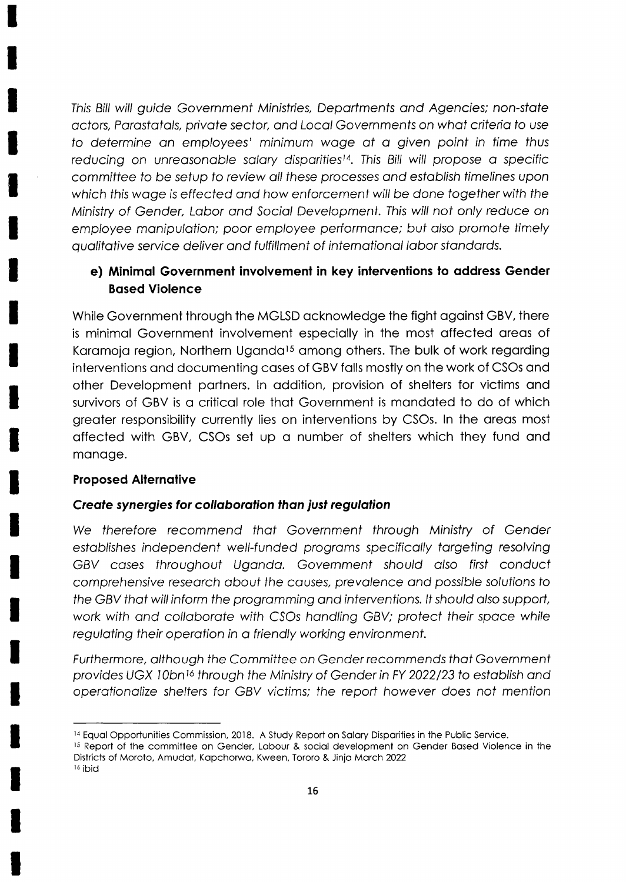This Bill will quide Government Ministries, Departments and Agencies; non-state actors, Parastatals, private sector, and Local Governments on what criteria to use to determine an employees' minimum wage at a given point in time thus reducing on unreasonable salary disparities<sup>14</sup>. This Bill will propose a specific committee to be setup to review all these processes and establish timelines upon which this wage is effected and how enforcement will be done together with the Ministry of Gender, Labor and Social Development. This will not only reduce on employee manipulation; poor employee performance; but also promote timely qualitative service deliver and fulfillment of international labor standards.

### e) Minimal Government involvement in key interventions to address Gender **Based Violence**

While Government through the MGLSD acknowledge the fight against GBV, there is minimal Government involvement especially in the most affected areas of Karamoja region, Northern Uganda<sup>15</sup> among others. The bulk of work regarding interventions and documenting cases of GBV falls mostly on the work of CSOs and other Development partners, In addition, provision of shelters for victims and survivors of GBV is a critical role that Government is mandated to do of which greater responsibility currently lies on interventions by CSOs. In the areas most affected with GBV, CSOs set up a number of shelters which they fund and manage.

#### **Proposed Alternative**

#### Create synergies for collaboration than just regulation

We therefore recommend that Government through Ministry of Gender establishes independent well-funded programs specifically targeting resolving GBV cases throughout Uganda. Government should also first conduct comprehensive research about the causes, prevalence and possible solutions to the GBV that will inform the programming and interventions. It should also support, work with and collaborate with CSOs handling GBV; protect their space while regulating their operation in a friendly working environment.

Furthermore, although the Committee on Gender recommends that Government provides UGX 10bn<sup>16</sup> through the Ministry of Gender in FY 2022/23 to establish and operationalize shelters for GBV victims; the report however does not mention

<sup>&</sup>lt;sup>14</sup> Equal Opportunities Commission, 2018. A Study Report on Salary Disparities in the Public Service.

<sup>15</sup> Report of the committee on Gender, Labour & social development on Gender Based Violence in the Districts of Moroto, Amudat, Kapchorwa, Kween, Tororo & Jinja March 2022

<sup>&</sup>lt;sup>16</sup> ibid